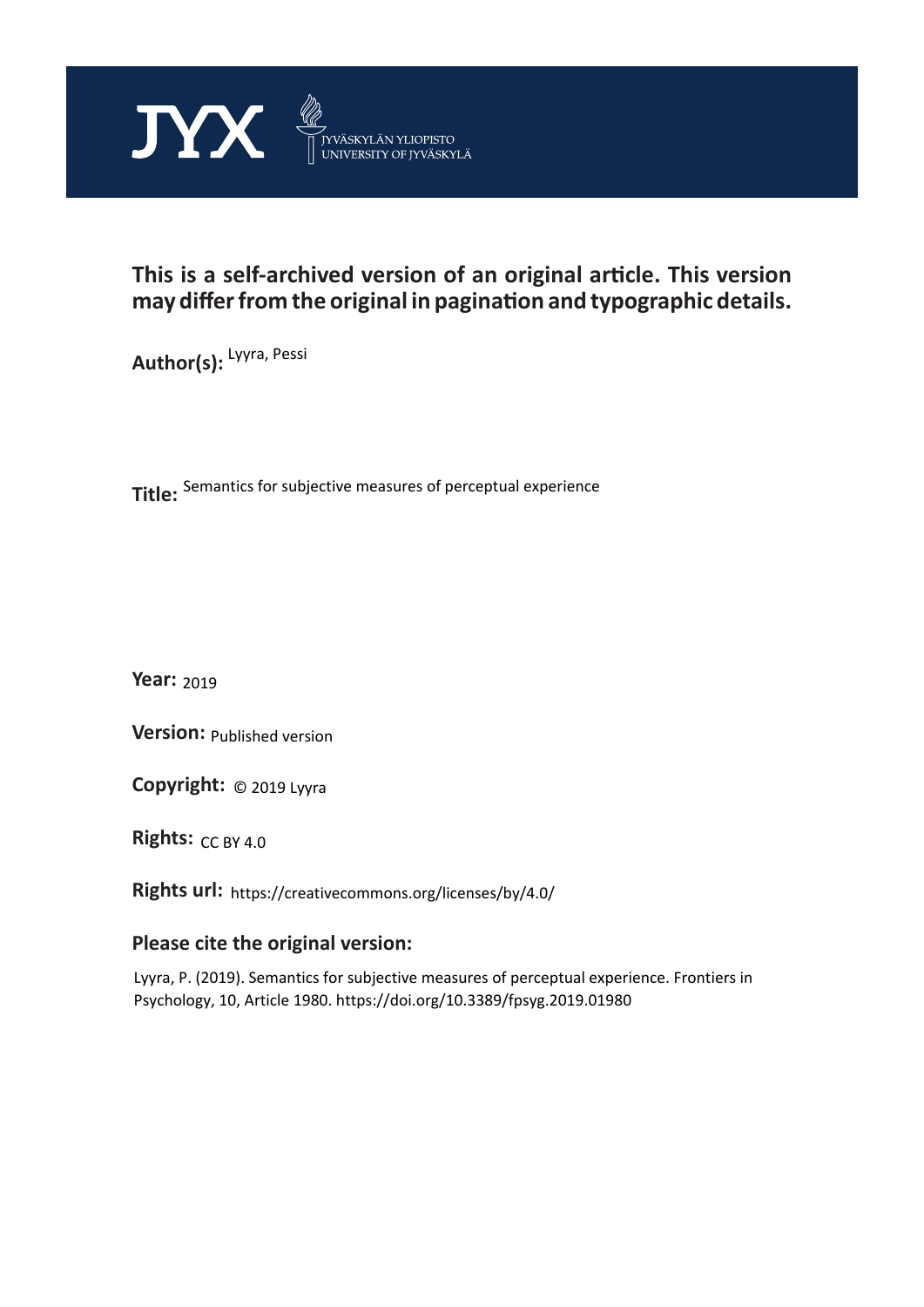

## **This is a self-archived version of an original article. This version may differ from the original in pagination and typographic details.**

**Author(s):**  Lyyra, Pessi

**Title:**  Semantics for subjective measures of perceptual experience

**Year:**  2019

**Version: Published version** 

**Version:** Published version<br>**Copyright:** © 2019 Lyyra

**Rights:** CC BY 4.0

**Rights url:**  https://creativecommons.org/licenses/by/4.0/

## **Please cite the original version:**

Lyyra, P. (2019). Semantics for subjective measures of perceptual experience. Frontiers in Psychology, 10, Article 1980. https://doi.org/10.3389/fpsyg.2019.01980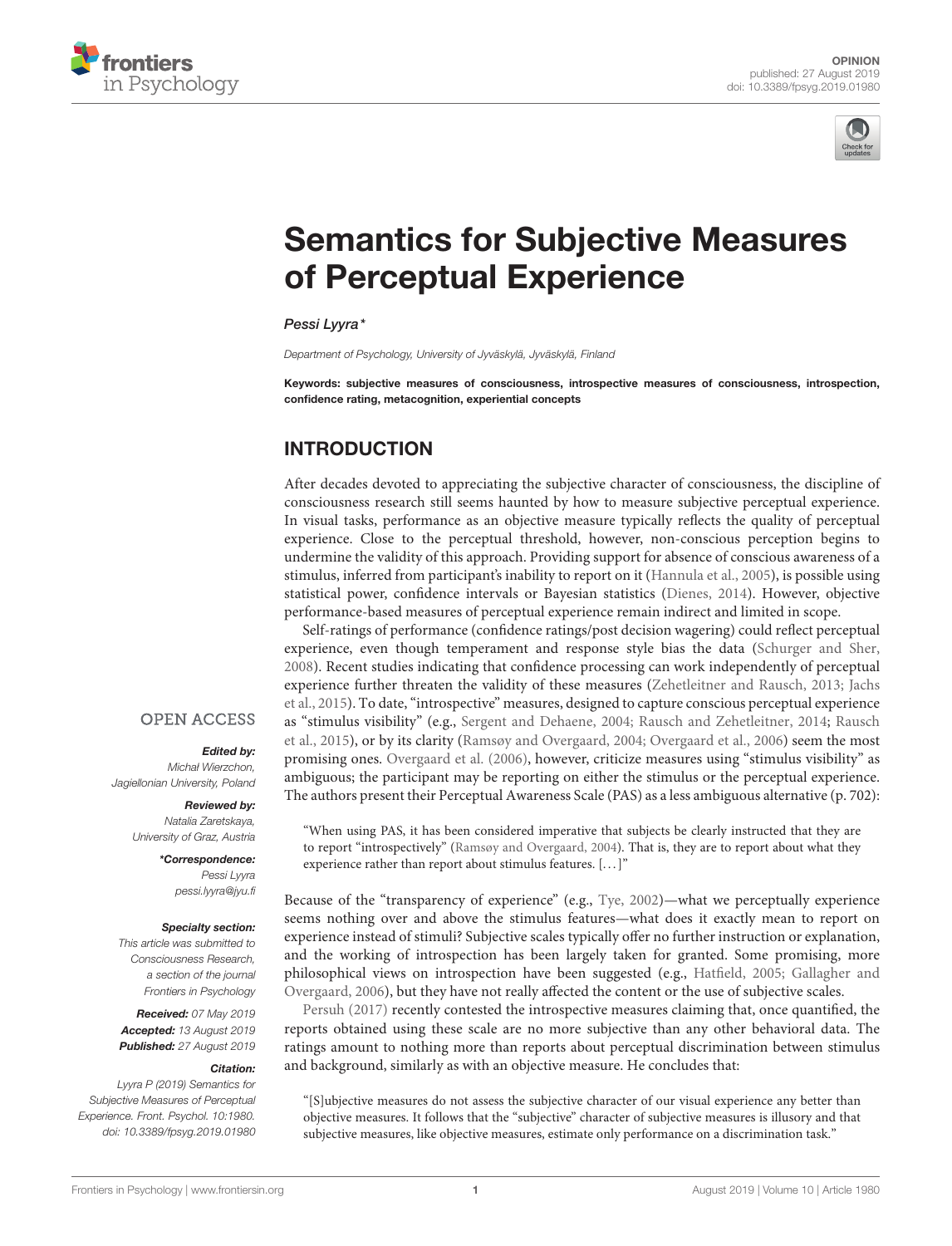



# [Semantics for Subjective Measures](https://www.frontiersin.org/articles/10.3389/fpsyg.2019.01980/full) of Perceptual Experience

[Pessi Lyyra\\*](http://loop.frontiersin.org/people/41235/overview)

Department of Psychology, University of Jyväskylä, Jyväskylä, Finland

Keywords: subjective measures of consciousness, introspective measures of consciousness, introspection, confidence rating, metacognition, experiential concepts

## INTRODUCTION

After decades devoted to appreciating the subjective character of consciousness, the discipline of consciousness research still seems haunted by how to measure subjective perceptual experience. In visual tasks, performance as an objective measure typically reflects the quality of perceptual experience. Close to the perceptual threshold, however, non-conscious perception begins to undermine the validity of this approach. Providing support for absence of conscious awareness of a stimulus, inferred from participant's inability to report on it [\(Hannula et al., 2005\)](#page-4-0), is possible using statistical power, confidence intervals or Bayesian statistics [\(Dienes, 2014\)](#page-3-0). However, objective performance-based measures of perceptual experience remain indirect and limited in scope.

Self-ratings of performance (confidence ratings/post decision wagering) could reflect perceptual experience, even though temperament and response style bias the data [\(Schurger and Sher,](#page-4-1) [2008\)](#page-4-1). Recent studies indicating that confidence processing can work independently of perceptual experience further threaten the validity of these measures [\(Zehetleitner and Rausch, 2013;](#page-4-2) Jachs et al., [2015\)](#page-4-3). To date, "introspective" measures, designed to capture conscious perceptual experience as "stimulus visibility" (e.g., [Sergent and Dehaene, 2004;](#page-4-4) [Rausch and Zehetleitner, 2014;](#page-4-5) Rausch et al., [2015\)](#page-4-6), or by its clarity [\(Ramsøy and Overgaard, 2004;](#page-4-7) [Overgaard et al., 2006\)](#page-4-8) seem the most promising ones. [Overgaard et al. \(2006\)](#page-4-8), however, criticize measures using "stimulus visibility" as ambiguous; the participant may be reporting on either the stimulus or the perceptual experience. The authors present their Perceptual Awareness Scale (PAS) as a less ambiguous alternative (p. 702):

"When using PAS, it has been considered imperative that subjects be clearly instructed that they are to report "introspectively" [\(Ramsøy and Overgaard, 2004\)](#page-4-7). That is, they are to report about what they experience rather than report about stimulus features. [...]"

Because of the "transparency of experience" (e.g., [Tye, 2002\)](#page-4-9)—what we perceptually experience seems nothing over and above the stimulus features—what does it exactly mean to report on experience instead of stimuli? Subjective scales typically offer no further instruction or explanation, and the working of introspection has been largely taken for granted. Some promising, more philosophical views on introspection have been suggested (e.g., [Hatfield, 2005;](#page-4-10) Gallagher and Overgaard, [2006\)](#page-3-1), but they have not really affected the content or the use of subjective scales.

[Persuh \(2017\)](#page-4-11) recently contested the introspective measures claiming that, once quantified, the reports obtained using these scale are no more subjective than any other behavioral data. The ratings amount to nothing more than reports about perceptual discrimination between stimulus and background, similarly as with an objective measure. He concludes that:

"[S]ubjective measures do not assess the subjective character of our visual experience any better than objective measures. It follows that the "subjective" character of subjective measures is illusory and that subjective measures, like objective measures, estimate only performance on a discrimination task."

### **OPEN ACCESS**

#### Edited by:

Michał Wierzchon, Jagiellonian University, Poland

#### Reviewed by:

Natalia Zaretskaya, University of Graz, Austria

> \*Correspondence: Pessi Lyyra [pessi.lyyra@jyu.fi](mailto:pessi.lyyra@jyu.fi)

#### Specialty section:

This article was submitted to Consciousness Research, a section of the journal Frontiers in Psychology

Received: 07 May 2019 Accepted: 13 August 2019 Published: 27 August 2019

#### Citation:

Lyyra P (2019) Semantics for Subjective Measures of Perceptual Experience. Front. Psychol. 10:1980. doi: [10.3389/fpsyg.2019.01980](https://doi.org/10.3389/fpsyg.2019.01980)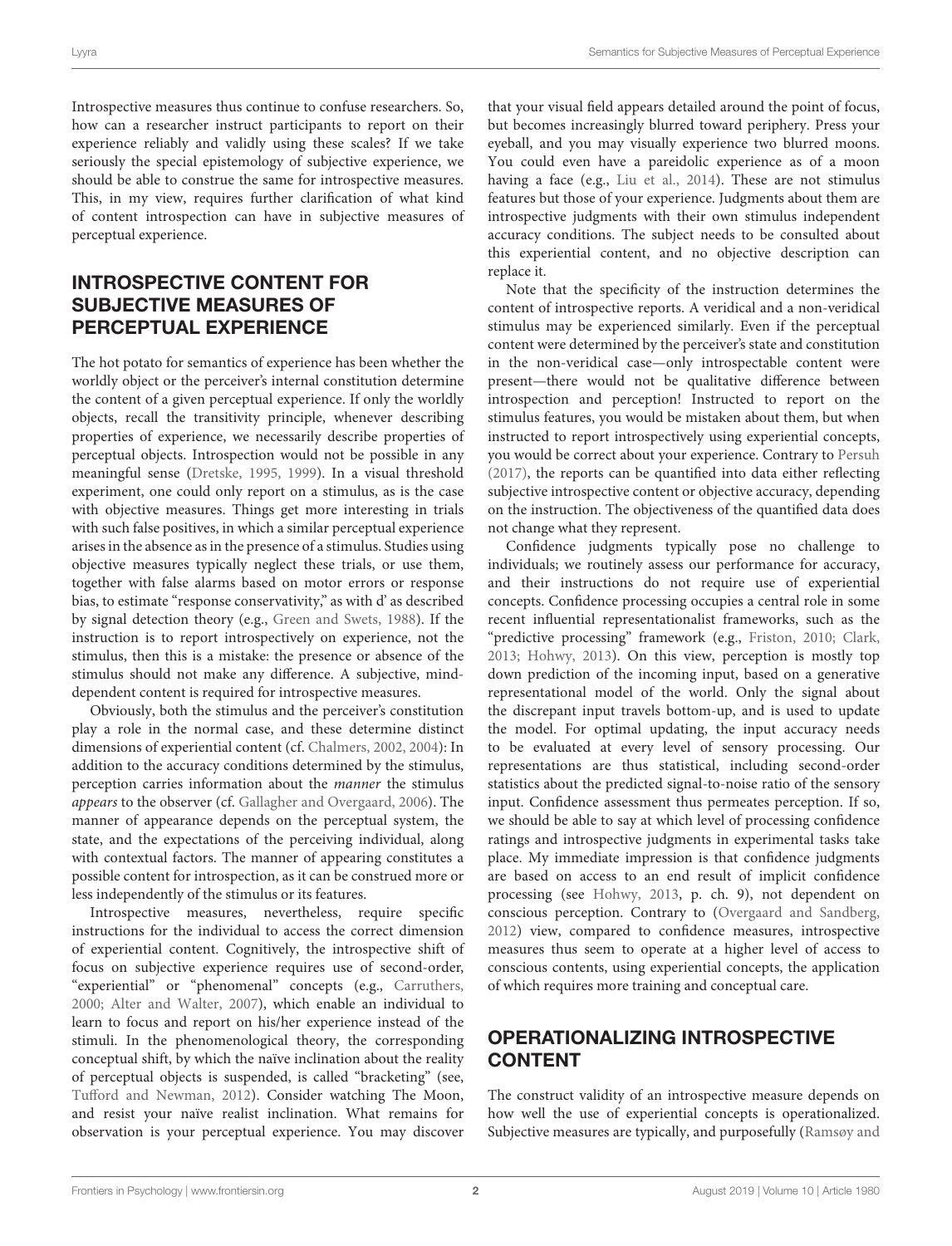Introspective measures thus continue to confuse researchers. So, how can a researcher instruct participants to report on their experience reliably and validly using these scales? If we take seriously the special epistemology of subjective experience, we should be able to construe the same for introspective measures. This, in my view, requires further clarification of what kind of content introspection can have in subjective measures of perceptual experience.

## INTROSPECTIVE CONTENT FOR SUBJECTIVE MEASURES OF PERCEPTUAL EXPERIENCE

The hot potato for semantics of experience has been whether the worldly object or the perceiver's internal constitution determine the content of a given perceptual experience. If only the worldly objects, recall the transitivity principle, whenever describing properties of experience, we necessarily describe properties of perceptual objects. Introspection would not be possible in any meaningful sense [\(Dretske, 1995,](#page-3-2) [1999\)](#page-3-3). In a visual threshold experiment, one could only report on a stimulus, as is the case with objective measures. Things get more interesting in trials with such false positives, in which a similar perceptual experience arises in the absence as in the presence of a stimulus. Studies using objective measures typically neglect these trials, or use them, together with false alarms based on motor errors or response bias, to estimate "response conservativity," as with d' as described by signal detection theory (e.g., [Green and Swets, 1988\)](#page-4-12). If the instruction is to report introspectively on experience, not the stimulus, then this is a mistake: the presence or absence of the stimulus should not make any difference. A subjective, minddependent content is required for introspective measures.

Obviously, both the stimulus and the perceiver's constitution play a role in the normal case, and these determine distinct dimensions of experiential content (cf. [Chalmers, 2002,](#page-3-4) [2004\)](#page-3-5): In addition to the accuracy conditions determined by the stimulus, perception carries information about the manner the stimulus appears to the observer (cf. [Gallagher and Overgaard, 2006\)](#page-3-1). The manner of appearance depends on the perceptual system, the state, and the expectations of the perceiving individual, along with contextual factors. The manner of appearing constitutes a possible content for introspection, as it can be construed more or less independently of the stimulus or its features.

Introspective measures, nevertheless, require specific instructions for the individual to access the correct dimension of experiential content. Cognitively, the introspective shift of focus on subjective experience requires use of second-order, "experiential" or "phenomenal" concepts (e.g., [Carruthers,](#page-3-6) [2000;](#page-3-6) [Alter and Walter, 2007\)](#page-3-7), which enable an individual to learn to focus and report on his/her experience instead of the stimuli. In the phenomenological theory, the corresponding conceptual shift, by which the naïve inclination about the reality of perceptual objects is suspended, is called "bracketing" (see, [Tufford and Newman, 2012\)](#page-4-13). Consider watching The Moon, and resist your naïve realist inclination. What remains for observation is your perceptual experience. You may discover that your visual field appears detailed around the point of focus, but becomes increasingly blurred toward periphery. Press your eyeball, and you may visually experience two blurred moons. You could even have a pareidolic experience as of a moon having a face (e.g., [Liu et al., 2014\)](#page-4-14). These are not stimulus features but those of your experience. Judgments about them are introspective judgments with their own stimulus independent accuracy conditions. The subject needs to be consulted about this experiential content, and no objective description can replace it.

Note that the specificity of the instruction determines the content of introspective reports. A veridical and a non-veridical stimulus may be experienced similarly. Even if the perceptual content were determined by the perceiver's state and constitution in the non-veridical case—only introspectable content were present—there would not be qualitative difference between introspection and perception! Instructed to report on the stimulus features, you would be mistaken about them, but when instructed to report introspectively using experiential concepts, you would be correct about your experience. Contrary to [Persuh](#page-4-11) [\(2017\)](#page-4-11), the reports can be quantified into data either reflecting subjective introspective content or objective accuracy, depending on the instruction. The objectiveness of the quantified data does not change what they represent.

Confidence judgments typically pose no challenge to individuals; we routinely assess our performance for accuracy, and their instructions do not require use of experiential concepts. Confidence processing occupies a central role in some recent influential representationalist frameworks, such as the "predictive processing" framework (e.g., [Friston, 2010;](#page-3-8) [Clark,](#page-3-9) [2013;](#page-3-9) [Hohwy, 2013\)](#page-4-15). On this view, perception is mostly top down prediction of the incoming input, based on a generative representational model of the world. Only the signal about the discrepant input travels bottom-up, and is used to update the model. For optimal updating, the input accuracy needs to be evaluated at every level of sensory processing. Our representations are thus statistical, including second-order statistics about the predicted signal-to-noise ratio of the sensory input. Confidence assessment thus permeates perception. If so, we should be able to say at which level of processing confidence ratings and introspective judgments in experimental tasks take place. My immediate impression is that confidence judgments are based on access to an end result of implicit confidence processing (see [Hohwy, 2013,](#page-4-15) p. ch. 9), not dependent on conscious perception. Contrary to [\(Overgaard and Sandberg,](#page-4-16) [2012\)](#page-4-16) view, compared to confidence measures, introspective measures thus seem to operate at a higher level of access to conscious contents, using experiential concepts, the application of which requires more training and conceptual care.

## OPERATIONALIZING INTROSPECTIVE CONTENT

The construct validity of an introspective measure depends on how well the use of experiential concepts is operationalized. Subjective measures are typically, and purposefully (Ramsøy and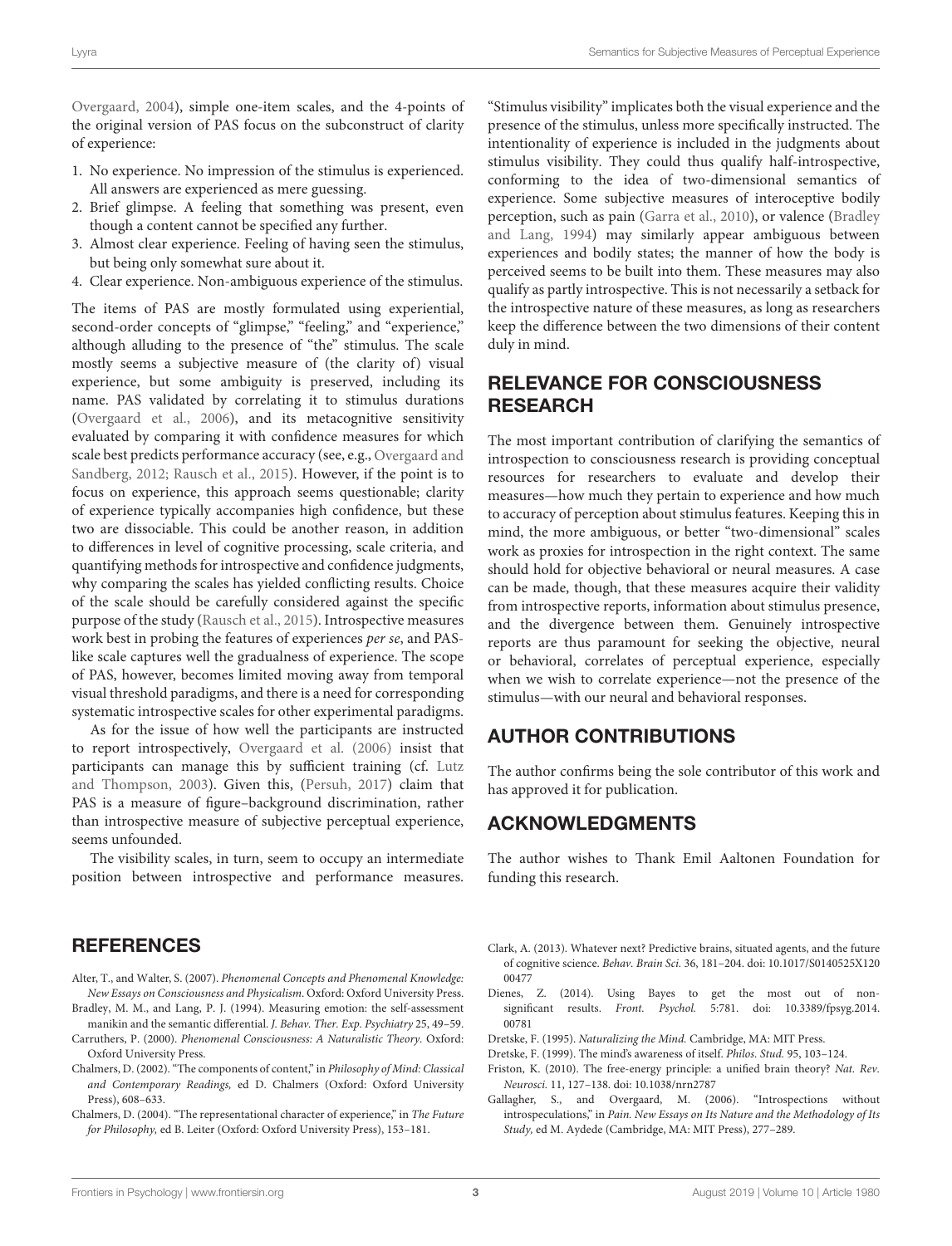Overgaard, [2004\)](#page-4-7), simple one-item scales, and the 4-points of the original version of PAS focus on the subconstruct of clarity of experience:

- 1. No experience. No impression of the stimulus is experienced. All answers are experienced as mere guessing.
- 2. Brief glimpse. A feeling that something was present, even though a content cannot be specified any further.
- 3. Almost clear experience. Feeling of having seen the stimulus, but being only somewhat sure about it.
- 4. Clear experience. Non-ambiguous experience of the stimulus.

The items of PAS are mostly formulated using experiential, second-order concepts of "glimpse," "feeling," and "experience," although alluding to the presence of "the" stimulus. The scale mostly seems a subjective measure of (the clarity of) visual experience, but some ambiguity is preserved, including its name. PAS validated by correlating it to stimulus durations [\(Overgaard et al., 2006\)](#page-4-8), and its metacognitive sensitivity evaluated by comparing it with confidence measures for which scale best predicts performance accuracy (see, e.g., Overgaard and Sandberg, [2012;](#page-4-16) [Rausch et al., 2015\)](#page-4-6). However, if the point is to focus on experience, this approach seems questionable; clarity of experience typically accompanies high confidence, but these two are dissociable. This could be another reason, in addition to differences in level of cognitive processing, scale criteria, and quantifying methods for introspective and confidence judgments, why comparing the scales has yielded conflicting results. Choice of the scale should be carefully considered against the specific purpose of the study [\(Rausch et al., 2015\)](#page-4-6). Introspective measures work best in probing the features of experiences per se, and PASlike scale captures well the gradualness of experience. The scope of PAS, however, becomes limited moving away from temporal visual threshold paradigms, and there is a need for corresponding systematic introspective scales for other experimental paradigms.

As for the issue of how well the participants are instructed to report introspectively, [Overgaard et al. \(2006\)](#page-4-8) insist that participants can manage this by sufficient training (cf. Lutz and Thompson, [2003\)](#page-4-17). Given this, [\(Persuh, 2017\)](#page-4-11) claim that PAS is a measure of figure–background discrimination, rather than introspective measure of subjective perceptual experience, seems unfounded.

The visibility scales, in turn, seem to occupy an intermediate position between introspective and performance measures.

## **REFERENCES**

- <span id="page-3-7"></span>Alter, T., and Walter, S. (2007). Phenomenal Concepts and Phenomenal Knowledge: New Essays on Consciousness and Physicalism. Oxford: Oxford University Press.
- <span id="page-3-10"></span>Bradley, M. M., and Lang, P. J. (1994). Measuring emotion: the self-assessment manikin and the semantic differential. J. Behav. Ther. Exp. Psychiatry 25, 49–59. Carruthers, P. (2000). Phenomenal Consciousness: A Naturalistic Theory. Oxford:
- <span id="page-3-6"></span>Oxford University Press.
- <span id="page-3-4"></span>Chalmers, D. (2002). "The components of content," in Philosophy of Mind: Classical and Contemporary Readings, ed D. Chalmers (Oxford: Oxford University Press), 608–633.
- <span id="page-3-5"></span>Chalmers, D. (2004). "The representational character of experience," in The Future for Philosophy, ed B. Leiter (Oxford: Oxford University Press), 153–181.

"Stimulus visibility" implicates both the visual experience and the presence of the stimulus, unless more specifically instructed. The intentionality of experience is included in the judgments about stimulus visibility. They could thus qualify half-introspective, conforming to the idea of two-dimensional semantics of experience. Some subjective measures of interoceptive bodily perception, such as pain [\(Garra et al., 2010\)](#page-4-18), or valence (Bradley and Lang, [1994\)](#page-3-10) may similarly appear ambiguous between experiences and bodily states; the manner of how the body is perceived seems to be built into them. These measures may also qualify as partly introspective. This is not necessarily a setback for the introspective nature of these measures, as long as researchers keep the difference between the two dimensions of their content duly in mind.

## RELEVANCE FOR CONSCIOUSNESS **RESEARCH**

The most important contribution of clarifying the semantics of introspection to consciousness research is providing conceptual resources for researchers to evaluate and develop their measures—how much they pertain to experience and how much to accuracy of perception about stimulus features. Keeping this in mind, the more ambiguous, or better "two-dimensional" scales work as proxies for introspection in the right context. The same should hold for objective behavioral or neural measures. A case can be made, though, that these measures acquire their validity from introspective reports, information about stimulus presence, and the divergence between them. Genuinely introspective reports are thus paramount for seeking the objective, neural or behavioral, correlates of perceptual experience, especially when we wish to correlate experience—not the presence of the stimulus—with our neural and behavioral responses.

## AUTHOR CONTRIBUTIONS

The author confirms being the sole contributor of this work and has approved it for publication.

## ACKNOWLEDGMENTS

The author wishes to Thank Emil Aaltonen Foundation for funding this research.

- <span id="page-3-9"></span>Clark, A. (2013). Whatever next? Predictive brains, situated agents, and the future of cognitive science. Behav. Brain Sci. [36, 181–204. doi: 10.1017/S0140525X120](https://doi.org/10.1017/S0140525X12000477) 00477
- <span id="page-3-0"></span>Dienes, Z. (2014). Using Bayes to get the most out of nonsignificant results. Front. Psychol. [5:781. doi: 10.3389/fpsyg.2014.](https://doi.org/10.3389/fpsyg.2014.00781) 00781
- <span id="page-3-2"></span>Dretske, F. (1995). Naturalizing the Mind. Cambridge, MA: MIT Press.
- <span id="page-3-3"></span>Dretske, F. (1999). The mind's awareness of itself. Philos. Stud. 95, 103–124.
- <span id="page-3-8"></span>Friston, K. (2010). The free-energy principle: a unified brain theory? Nat. Rev. Neurosci. 11, 127–138. doi: [10.1038/nrn2787](https://doi.org/10.1038/nrn2787)
- <span id="page-3-1"></span>Gallagher, S., and Overgaard, M. (2006). "Introspections without introspeculations," in Pain. New Essays on Its Nature and the Methodology of Its Study, ed M. Aydede (Cambridge, MA: MIT Press), 277–289.